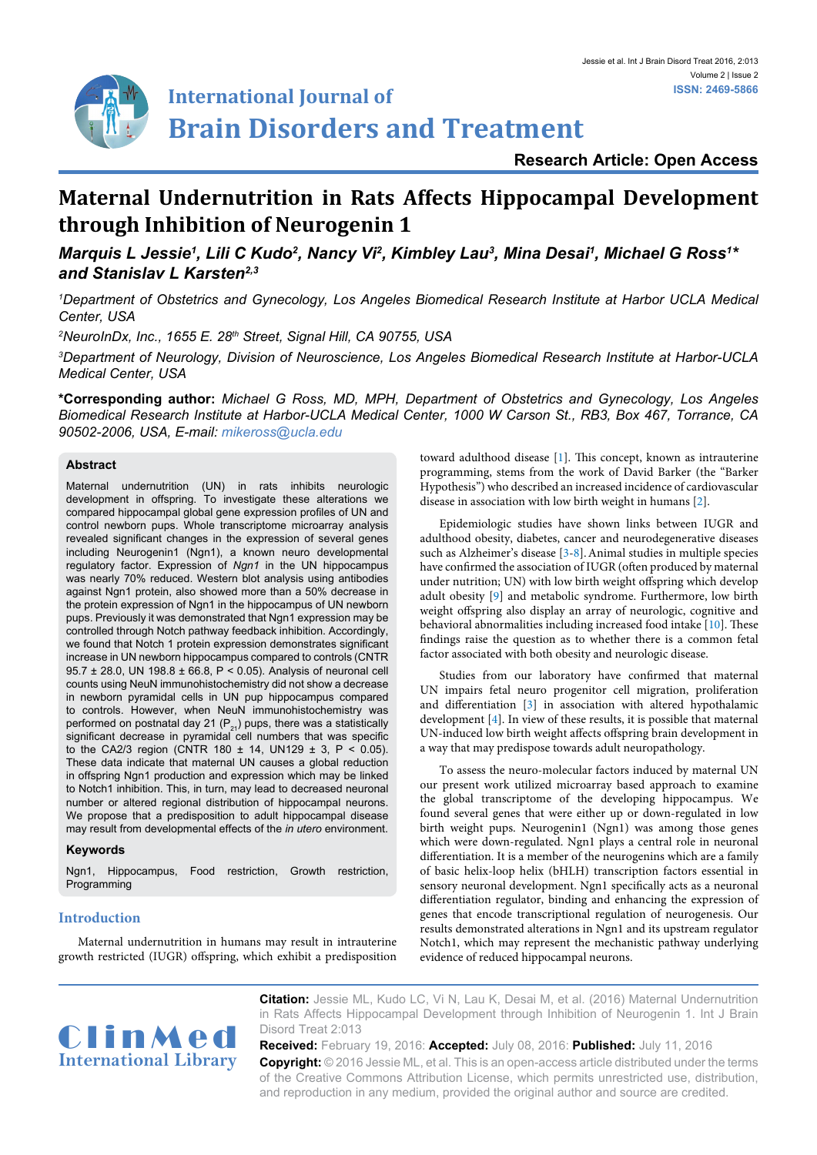

# **Research Article: Open Access**

# **Maternal Undernutrition in Rats Affects Hippocampal Development through Inhibition of Neurogenin 1**

*Marquis L Jessie<sup>1</sup>, Lili C Kudo<sup>2</sup>, Nancy Vi<sup>2</sup>, Kimbley Lau<sup>3</sup>, Mina Desai<sup>1</sup>, Michael G Ross<sup>1\*</sup> and Stanislav L Karsten2,3*

*1 Department of Obstetrics and Gynecology, Los Angeles Biomedical Research Institute at Harbor UCLA Medical Center, USA*

*2 NeuroInDx, Inc., 1655 E. 28th Street, Signal Hill, CA 90755, USA*

*3 Department of Neurology, Division of Neuroscience, Los Angeles Biomedical Research Institute at Harbor-UCLA Medical Center, USA*

**\*Corresponding author:** *Michael G Ross, MD, MPH, Department of Obstetrics and Gynecology, Los Angeles Biomedical Research Institute at Harbor-UCLA Medical Center, 1000 W Carson St., RB3, Box 467, Torrance, CA 90502-2006, USA, E-mail: mikeross@ucla.edu*

#### **Abstract**

Maternal undernutrition (UN) in rats inhibits neurologic development in offspring. To investigate these alterations we compared hippocampal global gene expression profiles of UN and control newborn pups. Whole transcriptome microarray analysis revealed significant changes in the expression of several genes including Neurogenin1 (Ngn1), a known neuro developmental regulatory factor. Expression of *Ngn1* in the UN hippocampus was nearly 70% reduced. Western blot analysis using antibodies against Ngn1 protein, also showed more than a 50% decrease in the protein expression of Ngn1 in the hippocampus of UN newborn pups. Previously it was demonstrated that Ngn1 expression may be controlled through Notch pathway feedback inhibition. Accordingly, we found that Notch 1 protein expression demonstrates significant increase in UN newborn hippocampus compared to controls (CNTR 95.7 ± 28.0, UN 198.8 ± 66.8, P < 0.05). Analysis of neuronal cell counts using NeuN immunohistochemistry did not show a decrease in newborn pyramidal cells in UN pup hippocampus compared to controls. However, when NeuN immunohistochemistry was performed on postnatal day 21 (P<sub>21</sub>) pups, there was a statistically<br>significant decrease in pyramidal cell numbers that was specific to the CA2/3 region (CNTR 180  $\pm$  14, UN129  $\pm$  3, P < 0.05). These data indicate that maternal UN causes a global reduction in offspring Ngn1 production and expression which may be linked to Notch1 inhibition. This, in turn, may lead to decreased neuronal number or altered regional distribution of hippocampal neurons. We propose that a predisposition to adult hippocampal disease may result from developmental effects of the *in utero* environment.

#### **Keywords**

Ngn1, Hippocampus, Food restriction, Growth restriction, Programming

#### **Introduction**

Maternal undernutrition in humans may result in intrauterine growth restricted (IUGR) offspring, which exhibit a predisposition toward adulthood disease [[1\]](#page-4-0). This concept, known as intrauterine programming, stems from the work of David Barker (the "Barker Hypothesis") who described an increased incidence of cardiovascular disease in association with low birth weight in humans [[2](#page-4-1)].

Epidemiologic studies have shown links between IUGR and adulthood obesity, diabetes, cancer and neurodegenerative diseases such as Alzheimer's disease [[3-](#page-4-2)[8](#page-4-3)].Animal studies in multiple species have confirmed the association of IUGR (often produced by maternal under nutrition; UN) with low birth weight offspring which develop adult obesity [[9\]](#page-4-4) and metabolic syndrome. Furthermore, low birth weight offspring also display an array of neurologic, cognitive and behavioral abnormalities including increased food intake [\[10](#page-4-5)]. These findings raise the question as to whether there is a common fetal factor associated with both obesity and neurologic disease.

Studies from our laboratory have confirmed that maternal UN impairs fetal neuro progenitor cell migration, proliferation and differentiation [\[3](#page-4-2)] in association with altered hypothalamic development [\[4\]](#page-4-6). In view of these results, it is possible that maternal UN-induced low birth weight affects offspring brain development in a way that may predispose towards adult neuropathology.

To assess the neuro-molecular factors induced by maternal UN our present work utilized microarray based approach to examine the global transcriptome of the developing hippocampus. We found several genes that were either up or down-regulated in low birth weight pups. Neurogenin1 (Ngn1) was among those genes which were down-regulated. Ngn1 plays a central role in neuronal differentiation. It is a member of the neurogenins which are a family of basic helix-loop helix (bHLH) transcription factors essential in sensory neuronal development. Ngn1 specifically acts as a neuronal differentiation regulator, binding and enhancing the expression of genes that encode transcriptional regulation of neurogenesis. Our results demonstrated alterations in Ngn1 and its upstream regulator Notch1, which may represent the mechanistic pathway underlying evidence of reduced hippocampal neurons.



**Citation:** Jessie ML, Kudo LC, Vi N, Lau K, Desai M, et al. (2016) Maternal Undernutrition in Rats Affects Hippocampal Development through Inhibition of Neurogenin 1. Int J Brain Disord Treat 2:013

**Received:** February 19, 2016: **Accepted:** July 08, 2016: **Published:** July 11, 2016 **Copyright:** © 2016 Jessie ML, et al. This is an open-access article distributed under the terms of the Creative Commons Attribution License, which permits unrestricted use, distribution, and reproduction in any medium, provided the original author and source are credited.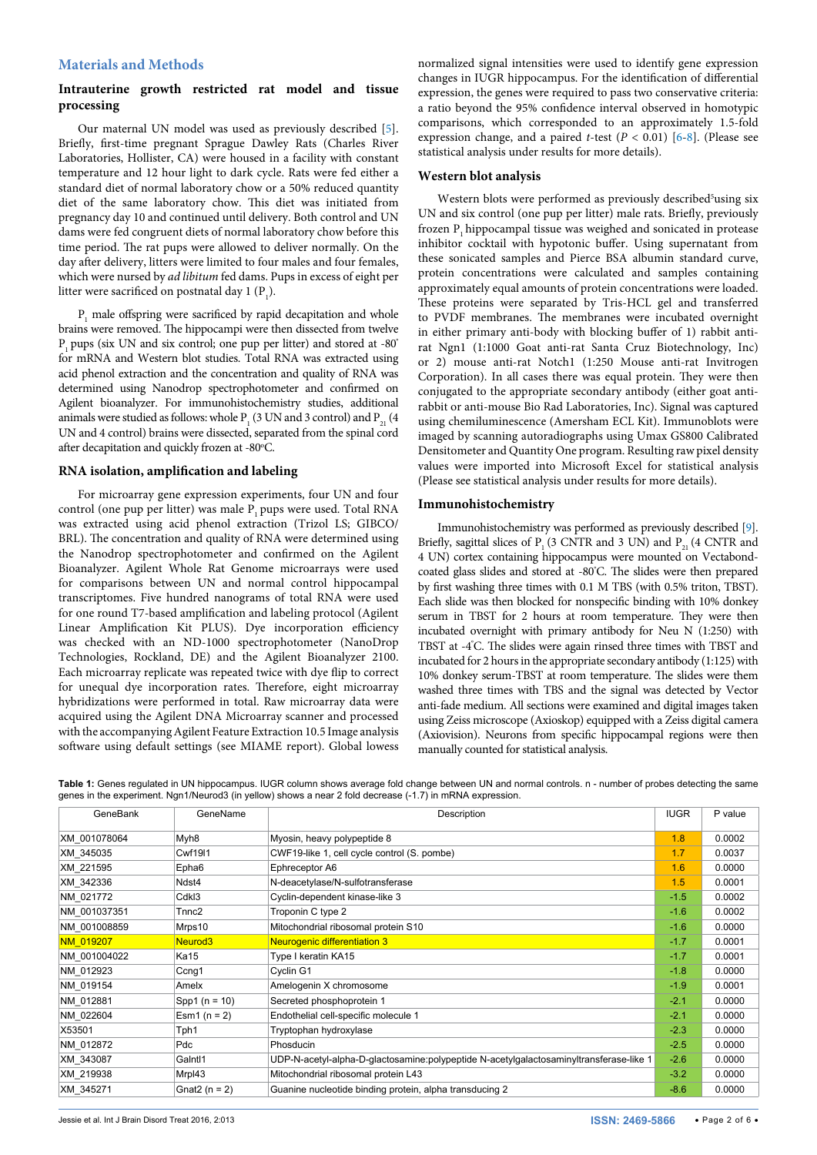### **Materials and Methods**

## **Intrauterine growth restricted rat model and tissue processing**

Our maternal UN model was used as previously described [\[5](#page-4-7)]. Briefly, first-time pregnant Sprague Dawley Rats (Charles River Laboratories, Hollister, CA) were housed in a facility with constant temperature and 12 hour light to dark cycle. Rats were fed either a standard diet of normal laboratory chow or a 50% reduced quantity diet of the same laboratory chow. This diet was initiated from pregnancy day 10 and continued until delivery. Both control and UN dams were fed congruent diets of normal laboratory chow before this time period. The rat pups were allowed to deliver normally. On the day after delivery, litters were limited to four males and four females, which were nursed by *ad libitum* fed dams. Pups in excess of eight per litter were sacrificed on postnatal day 1  $(P_1)$ .

 $P_1$  male offspring were sacrificed by rapid decapitation and whole brains were removed. The hippocampi were then dissected from twelve  $P_1$  pups (six UN and six control; one pup per litter) and stored at -80° for mRNA and Western blot studies. Total RNA was extracted using acid phenol extraction and the concentration and quality of RNA was determined using Nanodrop spectrophotometer and confirmed on Agilent bioanalyzer. For immunohistochemistry studies, additional animals were studied as follows: whole P<sub>1</sub> (3 UN and 3 control) and P<sub>21</sub> (4 UN and 4 control) brains were dissected, separated from the spinal cord after decapitation and quickly frozen at -80°C.

#### **RNA isolation, amplification and labeling**

For microarray gene expression experiments, four UN and four control (one pup per litter) was male P<sub>1</sub> pups were used. Total RNA was extracted using acid phenol extraction (Trizol LS; GIBCO/ BRL). The concentration and quality of RNA were determined using the Nanodrop spectrophotometer and confirmed on the Agilent Bioanalyzer. Agilent Whole Rat Genome microarrays were used for comparisons between UN and normal control hippocampal transcriptomes. Five hundred nanograms of total RNA were used for one round T7-based amplification and labeling protocol (Agilent Linear Amplification Kit PLUS). Dye incorporation efficiency was checked with an ND-1000 spectrophotometer (NanoDrop Technologies, Rockland, DE) and the Agilent Bioanalyzer 2100. Each microarray replicate was repeated twice with dye flip to correct for unequal dye incorporation rates. Therefore, eight microarray hybridizations were performed in total. Raw microarray data were acquired using the Agilent DNA Microarray scanner and processed with the accompanying Agilent Feature Extraction 10.5 Image analysis software using default settings (see MIAME report). Global lowess normalized signal intensities were used to identify gene expression changes in IUGR hippocampus. For the identification of differential expression, the genes were required to pass two conservative criteria: a ratio beyond the 95% confidence interval observed in homotypic comparisons, which corresponded to an approximately 1.5-fold expression change, and a paired *t*-test  $(P < 0.01)$  [\[6](#page-4-8)-[8\]](#page-4-3). (Please see statistical analysis under results for more details).

#### **Western blot analysis**

Western blots were performed as previously described<sup>5</sup>using six UN and six control (one pup per litter) male rats. Briefly, previously frozen P<sub>1</sub> hippocampal tissue was weighed and sonicated in protease inhibitor cocktail with hypotonic buffer. Using supernatant from these sonicated samples and Pierce BSA albumin standard curve, protein concentrations were calculated and samples containing approximately equal amounts of protein concentrations were loaded. These proteins were separated by Tris-HCL gel and transferred to PVDF membranes. The membranes were incubated overnight in either primary anti-body with blocking buffer of 1) rabbit antirat Ngn1 (1:1000 Goat anti-rat Santa Cruz Biotechnology, Inc) or 2) mouse anti-rat Notch1 (1:250 Mouse anti-rat Invitrogen Corporation). In all cases there was equal protein. They were then conjugated to the appropriate secondary antibody (either goat antirabbit or anti-mouse Bio Rad Laboratories, Inc). Signal was captured using chemiluminescence (Amersham ECL Kit). Immunoblots were imaged by scanning autoradiographs using Umax GS800 Calibrated Densitometer and Quantity One program. Resulting raw pixel density values were imported into Microsoft Excel for statistical analysis (Please see statistical analysis under results for more details).

#### **Immunohistochemistry**

Immunohistochemistry was performed as previously described [[9\]](#page-4-4). Briefly, sagittal slices of P<sub>1</sub> (3 CNTR and 3 UN) and P<sub>21</sub> (4 CNTR and 4 UN) cortex containing hippocampus were mounted on Vectabondcoated glass slides and stored at -80° C. The slides were then prepared by first washing three times with 0.1 M TBS (with 0.5% triton, TBST). Each slide was then blocked for nonspecific binding with 10% donkey serum in TBST for 2 hours at room temperature. They were then incubated overnight with primary antibody for Neu N (1:250) with TBST at -4° C. The slides were again rinsed three times with TBST and incubated for 2 hours in the appropriate secondary antibody (1:125) with 10% donkey serum-TBST at room temperature. The slides were them washed three times with TBS and the signal was detected by Vector anti-fade medium. All sections were examined and digital images taken using Zeiss microscope (Axioskop) equipped with a Zeiss digital camera (Axiovision). Neurons from specific hippocampal regions were then manually counted for statistical analysis.

<span id="page-1-0"></span>**Table 1:** Genes regulated in UN hippocampus. IUGR column shows average fold change between UN and normal controls. n - number of probes detecting the same genes in the experiment. Ngn1/Neurod3 (in yellow) shows a near 2 fold decrease (-1.7) in mRNA expression.

| GeneBank     | GeneName            | Description                                                                            | <b>IUGR</b> | P value |
|--------------|---------------------|----------------------------------------------------------------------------------------|-------------|---------|
| XM 001078064 | Myh <sub>8</sub>    | Myosin, heavy polypeptide 8                                                            | 1.8         | 0.0002  |
| XM 345035    | <b>Cwf19I1</b>      | CWF19-like 1, cell cycle control (S. pombe)                                            | 1.7         | 0.0037  |
| XM 221595    | Epha <sub>6</sub>   | Ephreceptor A6                                                                         | 1.6         | 0.0000  |
| XM 342336    | Ndst4               | N-deacetylase/N-sulfotransferase                                                       | 1.5         | 0.0001  |
| NM 021772    | Cdkl3               | Cyclin-dependent kinase-like 3                                                         | $-1.5$      | 0.0002  |
| NM 001037351 | Tnnc2               | Troponin C type 2                                                                      | $-1.6$      | 0.0002  |
| NM 001008859 | Mrps10              | Mitochondrial ribosomal protein S10                                                    | $-1.6$      | 0.0000  |
| NM 019207    | Neurod <sub>3</sub> | Neurogenic differentiation 3                                                           | $-1.7$      | 0.0001  |
| NM 001004022 | <b>Ka15</b>         | Type I keratin KA15                                                                    | $-1.7$      | 0.0001  |
| NM 012923    | Ccnq1               | Cyclin G1                                                                              | $-1.8$      | 0.0000  |
| NM 019154    | Amelx               | Amelogenin X chromosome                                                                | $-1.9$      | 0.0001  |
| NM 012881    | Spp1 $(n = 10)$     | Secreted phosphoprotein 1                                                              | $-2.1$      | 0.0000  |
| NM 022604    | Esm1 $(n = 2)$      | Endothelial cell-specific molecule 1                                                   | $-2.1$      | 0.0000  |
| X53501       | Tph1                | Tryptophan hydroxylase                                                                 | $-2.3$      | 0.0000  |
| NM 012872    | Pdc                 | <b>Phosducin</b>                                                                       | $-2.5$      | 0.0000  |
| XM 343087    | Galntl1             | UDP-N-acetyl-alpha-D-glactosamine:polypeptide N-acetylgalactosaminyltransferase-like 1 | $-2.6$      | 0.0000  |
| XM 219938    | Mrpl43              | Mitochondrial ribosomal protein L43                                                    | $-3.2$      | 0.0000  |
| XM 345271    | Gnat2 $(n = 2)$     | Guanine nucleotide binding protein, alpha transducing 2                                | $-8.6$      | 0.0000  |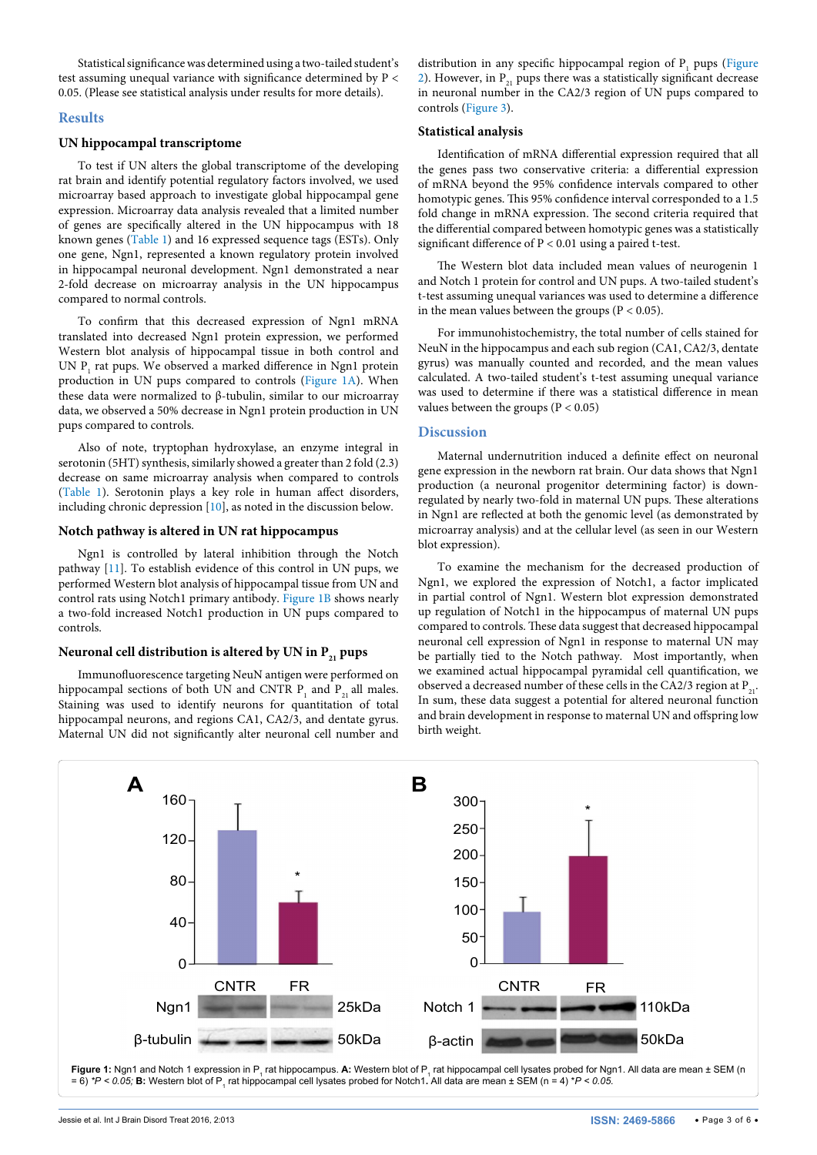Statistical significance was determined using a two-tailed student's test assuming unequal variance with significance determined by P < 0.05. (Please see statistical analysis under results for more details).

#### **Results**

#### **UN hippocampal transcriptome**

To test if UN alters the global transcriptome of the developing rat brain and identify potential regulatory factors involved, we used microarray based approach to investigate global hippocampal gene expression. Microarray data analysis revealed that a limited number of genes are specifically altered in the UN hippocampus with 18 known genes [\(Table 1](#page-1-0)) and 16 expressed sequence tags (ESTs). Only one gene, Ngn1, represented a known regulatory protein involved in hippocampal neuronal development. Ngn1 demonstrated a near 2-fold decrease on microarray analysis in the UN hippocampus compared to normal controls.

To confirm that this decreased expression of Ngn1 mRNA translated into decreased Ngn1 protein expression, we performed Western blot analysis of hippocampal tissue in both control and UN  $P_1$  rat pups. We observed a marked difference in Ngn1 protein production in UN pups compared to controls [\(Figure 1A\)](#page-2-0). When these data were normalized to β-tubulin, similar to our microarray data, we observed a 50% decrease in Ngn1 protein production in UN pups compared to controls.

Also of note, tryptophan hydroxylase, an enzyme integral in serotonin (5HT) synthesis, similarly showed a greater than 2 fold (2.3) decrease on same microarray analysis when compared to controls ([Table 1](#page-1-0)). Serotonin plays a key role in human affect disorders, including chronic depression [[10\]](#page-4-5), as noted in the discussion below.

#### **Notch pathway is altered in UN rat hippocampus**

Ngn1 is controlled by lateral inhibition through the Notch pathway [[11\]](#page-4-9). To establish evidence of this control in UN pups, we performed Western blot analysis of hippocampal tissue from UN and control rats using Notch1 primary antibody. [Figure 1B](#page-2-0) shows nearly a two-fold increased Notch1 production in UN pups compared to controls.

#### Neuronal cell distribution is altered by UN in P<sub>21</sub> pups

Immunofluorescence targeting NeuN antigen were performed on hippocampal sections of both UN and CNTR  $P_1$  and  $P_{21}$  all males. Staining was used to identify neurons for quantitation of total hippocampal neurons, and regions CA1, CA2/3, and dentate gyrus. Maternal UN did not significantly alter neuronal cell number and

distribution in any specific hippocampal region of  $P_1$  pups (Figure [2](#page-3-0)). However, in  $P_{21}$  pups there was a statistically significant decrease in neuronal number in the CA2/3 region of UN pups compared to controls [\(Figure 3](#page-3-1)).

#### **Statistical analysis**

Identification of mRNA differential expression required that all the genes pass two conservative criteria: a differential expression of mRNA beyond the 95% confidence intervals compared to other homotypic genes. This 95% confidence interval corresponded to a 1.5 fold change in mRNA expression. The second criteria required that the differential compared between homotypic genes was a statistically significant difference of P < 0.01 using a paired t-test.

The Western blot data included mean values of neurogenin 1 and Notch 1 protein for control and UN pups. A two-tailed student's t-test assuming unequal variances was used to determine a difference in the mean values between the groups ( $P < 0.05$ ).

For immunohistochemistry, the total number of cells stained for NeuN in the hippocampus and each sub region (CA1, CA2/3, dentate gyrus) was manually counted and recorded, and the mean values calculated. A two-tailed student's t-test assuming unequal variance was used to determine if there was a statistical difference in mean values between the groups ( $P < 0.05$ )

#### **Discussion**

Maternal undernutrition induced a definite effect on neuronal gene expression in the newborn rat brain. Our data shows that Ngn1 production (a neuronal progenitor determining factor) is downregulated by nearly two-fold in maternal UN pups. These alterations in Ngn1 are reflected at both the genomic level (as demonstrated by microarray analysis) and at the cellular level (as seen in our Western blot expression).

To examine the mechanism for the decreased production of Ngn1, we explored the expression of Notch1, a factor implicated in partial control of Ngn1. Western blot expression demonstrated up regulation of Notch1 in the hippocampus of maternal UN pups compared to controls. These data suggest that decreased hippocampal neuronal cell expression of Ngn1 in response to maternal UN may be partially tied to the Notch pathway. Most importantly, when we examined actual hippocampal pyramidal cell quantification, we observed a decreased number of these cells in the CA2/3 region at  $P_{21}$ . In sum, these data suggest a potential for altered neuronal function and brain development in response to maternal UN and offspring low birth weight.

<span id="page-2-0"></span>

**Figure 1:** Ngn1 and Notch 1 expression in P<sub>1</sub> rat hippocampus. **A:** Western blot of P<sub>1</sub> rat hippocampal cell lysates probed for Ngn1. All data are mean ± SEM (n = 6) \**P < 0.05;* **B:** Western blot of P<sub>1</sub> rat hippocampal cell lysates probed for Notch1. All data are mean ± SEM (n = 4) \**P < 0.05.*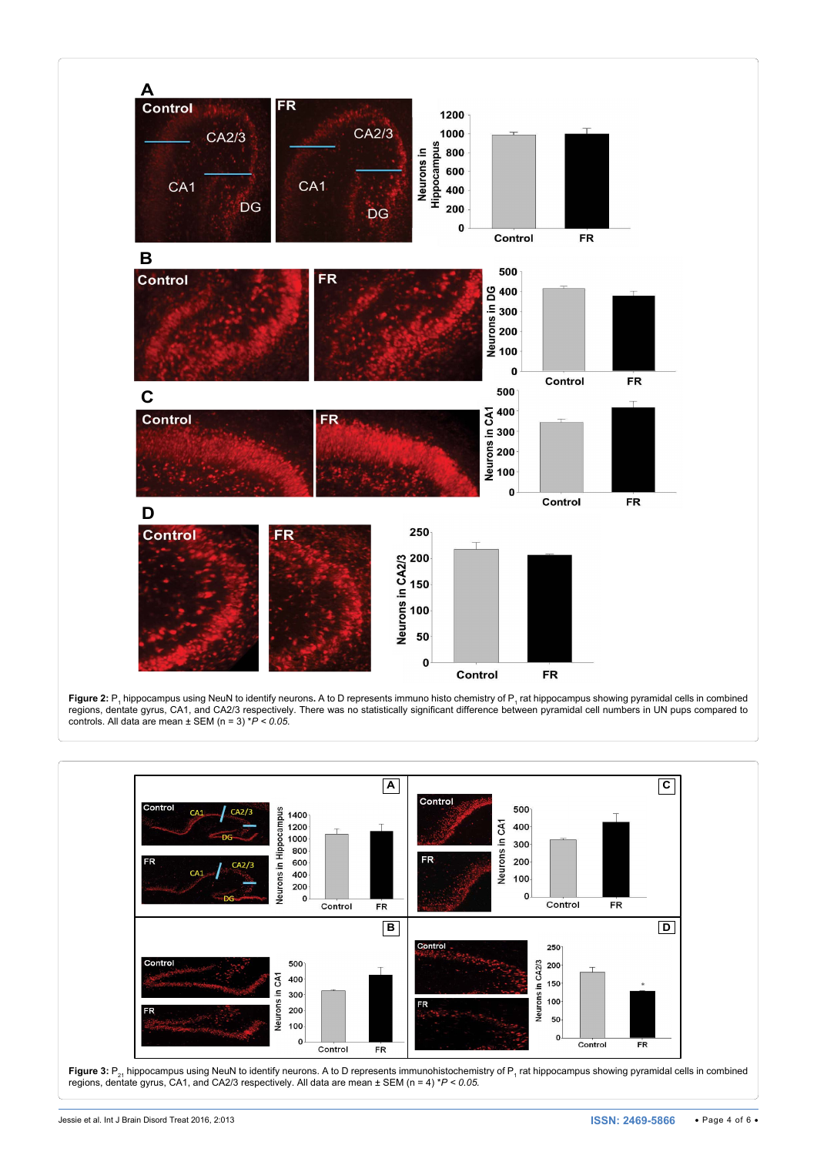<span id="page-3-0"></span>

**Figure 2:** P<sub>1</sub> hippocampus using NeuN to identify neurons. A to D represents immuno histo chemistry of P<sub>1</sub> rat hippocampus showing pyramidal cells in combined regions, dentate gyrus, CA1, and CA2/3 respectively. There was no statistically significant difference between pyramidal cell numbers in UN pups compared to controls. All data are mean ± SEM (n = 3) \**P < 0.05.*

<span id="page-3-1"></span>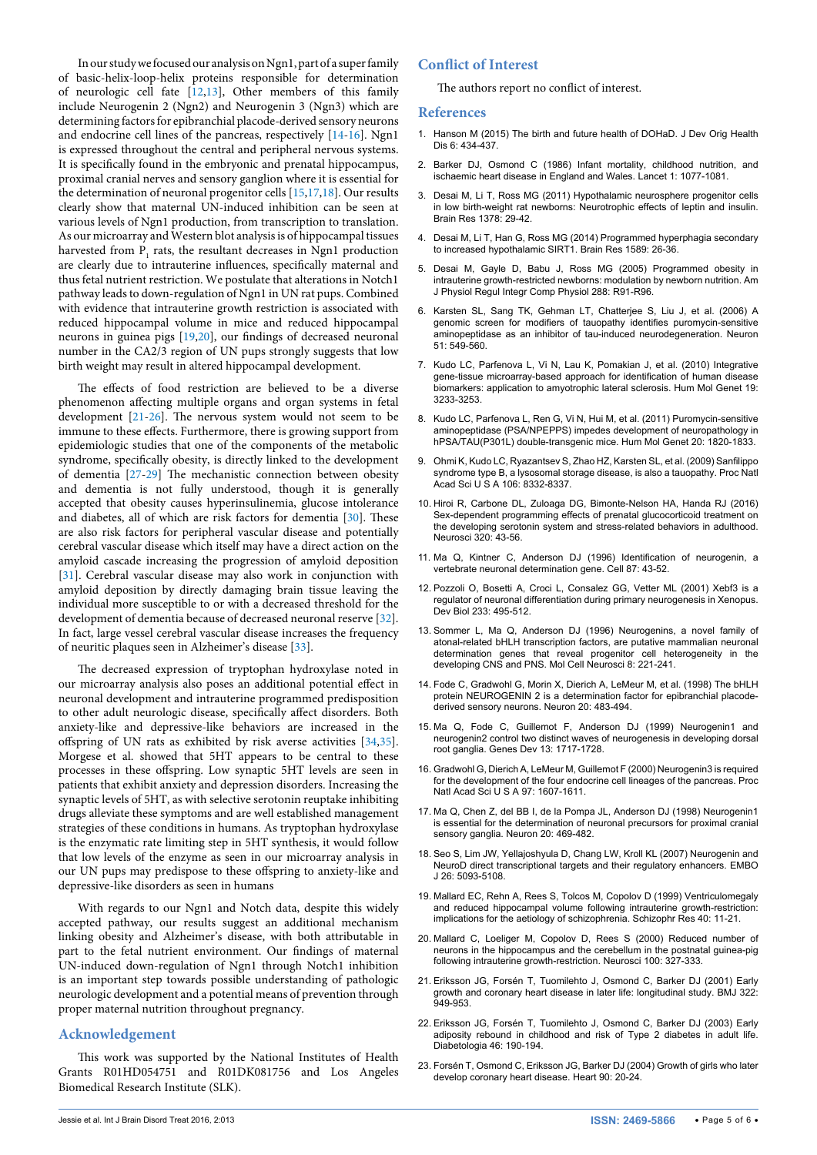In our study we focused our analysis on Ngn1, part of a super family of basic-helix-loop-helix proteins responsible for determination of neurologic cell fate [[12](#page-4-10)[,13\]](#page-4-11), Other members of this family include Neurogenin 2 (Ngn2) and Neurogenin 3 (Ngn3) which are determining factors for epibranchial placode-derived sensory neurons and endocrine cell lines of the pancreas, respectively [[14-](#page-4-12)[16](#page-4-13)]. Ngn1 is expressed throughout the central and peripheral nervous systems. It is specifically found in the embryonic and prenatal hippocampus, proximal cranial nerves and sensory ganglion where it is essential for the determination of neuronal progenitor cells [\[15](#page-4-14)[,17,](#page-4-15)[18](#page-4-16)]. Our results clearly show that maternal UN-induced inhibition can be seen at various levels of Ngn1 production, from transcription to translation. As our microarray and Western blot analysis is of hippocampal tissues harvested from  $P_1$  rats, the resultant decreases in Ngn1 production are clearly due to intrauterine influences, specifically maternal and thus fetal nutrient restriction. We postulate that alterations in Notch1 pathway leads to down-regulation of Ngn1 in UN rat pups. Combined with evidence that intrauterine growth restriction is associated with reduced hippocampal volume in mice and reduced hippocampal neurons in guinea pigs [[19](#page-4-17)[,20\]](#page-4-18), our findings of decreased neuronal number in the CA2/3 region of UN pups strongly suggests that low birth weight may result in altered hippocampal development.

The effects of food restriction are believed to be a diverse phenomenon affecting multiple organs and organ systems in fetal development [[21](#page-4-19)-[26](#page-5-0)]. The nervous system would not seem to be immune to these effects. Furthermore, there is growing support from epidemiologic studies that one of the components of the metabolic syndrome, specifically obesity, is directly linked to the development of dementia [[27](#page-5-1)[-29](#page-5-2)] The mechanistic connection between obesity and dementia is not fully understood, though it is generally accepted that obesity causes hyperinsulinemia, glucose intolerance and diabetes, all of which are risk factors for dementia [\[30\]](#page-5-3). These are also risk factors for peripheral vascular disease and potentially cerebral vascular disease which itself may have a direct action on the amyloid cascade increasing the progression of amyloid deposition [[31](#page-5-4)]. Cerebral vascular disease may also work in conjunction with amyloid deposition by directly damaging brain tissue leaving the individual more susceptible to or with a decreased threshold for the development of dementia because of decreased neuronal reserve [[32](#page-5-5)]. In fact, large vessel cerebral vascular disease increases the frequency of neuritic plaques seen in Alzheimer's disease [[33](#page-5-6)].

The decreased expression of tryptophan hydroxylase noted in our microarray analysis also poses an additional potential effect in neuronal development and intrauterine programmed predisposition to other adult neurologic disease, specifically affect disorders. Both anxiety-like and depressive-like behaviors are increased in the offspring of UN rats as exhibited by risk averse activities [\[34,](#page-5-7)[35](#page-5-8)]. Morgese et al. showed that 5HT appears to be central to these processes in these offspring. Low synaptic 5HT levels are seen in patients that exhibit anxiety and depression disorders. Increasing the synaptic levels of 5HT, as with selective serotonin reuptake inhibiting drugs alleviate these symptoms and are well established management strategies of these conditions in humans. As tryptophan hydroxylase is the enzymatic rate limiting step in 5HT synthesis, it would follow that low levels of the enzyme as seen in our microarray analysis in our UN pups may predispose to these offspring to anxiety-like and depressive-like disorders as seen in humans

With regards to our Ngn1 and Notch data, despite this widely accepted pathway, our results suggest an additional mechanism linking obesity and Alzheimer's disease, with both attributable in part to the fetal nutrient environment. Our findings of maternal UN-induced down-regulation of Ngn1 through Notch1 inhibition is an important step towards possible understanding of pathologic neurologic development and a potential means of prevention through proper maternal nutrition throughout pregnancy.

#### **Acknowledgement**

This work was supported by the National Institutes of Health Grants R01HD054751 and R01DK081756 and Los Angeles Biomedical Research Institute (SLK).

### **Conflict of Interest**

The authors report no conflict of interest.

#### **References**

- <span id="page-4-0"></span>1. [Hanson M \(2015\) The birth and future health of DOHaD. J Dev Orig Health](http://www.ncbi.nlm.nih.gov/pubmed/26004094)  [Dis 6: 434-437.](http://www.ncbi.nlm.nih.gov/pubmed/26004094)
- <span id="page-4-1"></span>2. [Barker DJ, Osmond C \(1986\) Infant mortality, childhood nutrition, and](http://www.ncbi.nlm.nih.gov/pubmed/2871345)  [ischaemic heart disease in England and Wales. Lancet 1: 1077-1081.](http://www.ncbi.nlm.nih.gov/pubmed/2871345)
- <span id="page-4-2"></span>3. [Desai M, Li T, Ross MG \(2011\) Hypothalamic neurosphere progenitor cells](http://www.ncbi.nlm.nih.gov/pubmed/21215735)  [in low birth-weight rat newborns: Neurotrophic effects of leptin and insulin.](http://www.ncbi.nlm.nih.gov/pubmed/21215735)  [Brain Res 1378: 29-42.](http://www.ncbi.nlm.nih.gov/pubmed/21215735)
- <span id="page-4-6"></span>4. [Desai M, Li T, Han G, Ross MG \(2014\) Programmed hyperphagia secondary](http://www.ncbi.nlm.nih.gov/pubmed/25245521)  [to increased hypothalamic SIRT1. Brain Res 1589: 26-36.](http://www.ncbi.nlm.nih.gov/pubmed/25245521)
- <span id="page-4-7"></span>5. [Desai M, Gayle D, Babu J, Ross MG \(2005\) Programmed obesity in](http://www.ncbi.nlm.nih.gov/pubmed/15297266)  [intrauterine growth-restricted newborns: modulation by newborn nutrition. Am](http://www.ncbi.nlm.nih.gov/pubmed/15297266)  [J Physiol Regul Integr Comp Physiol 288: R91-R96.](http://www.ncbi.nlm.nih.gov/pubmed/15297266)
- <span id="page-4-8"></span>6. [Karsten SL, Sang TK, Gehman LT, Chatterjee S, Liu J, et al. \(2006\) A](http://www.ncbi.nlm.nih.gov/pubmed/16950154)  [genomic screen for modifiers of tauopathy identifies puromycin-sensitive](http://www.ncbi.nlm.nih.gov/pubmed/16950154)  [aminopeptidase as an inhibitor of tau-induced neurodegeneration. Neuron](http://www.ncbi.nlm.nih.gov/pubmed/16950154)  [51: 549-560.](http://www.ncbi.nlm.nih.gov/pubmed/16950154)
- 7. [Kudo LC, Parfenova L, Vi N, Lau K, Pomakian J, et al. \(2010\) Integrative](http://www.ncbi.nlm.nih.gov/pubmed/20530642)  [gene-tissue microarray-based approach for identification of human disease](http://www.ncbi.nlm.nih.gov/pubmed/20530642)  [biomarkers: application to amyotrophic lateral sclerosis. Hum Mol Genet 19:](http://www.ncbi.nlm.nih.gov/pubmed/20530642)  [3233-3253.](http://www.ncbi.nlm.nih.gov/pubmed/20530642)
- <span id="page-4-3"></span>8. [Kudo LC, Parfenova L, Ren G, Vi N, Hui M, et al. \(2011\) Puromycin-sensitive](http://www.ncbi.nlm.nih.gov/pubmed/21320871)  [aminopeptidase \(PSA/NPEPPS\) impedes development of neuropathology in](http://www.ncbi.nlm.nih.gov/pubmed/21320871)  [hPSA/TAU\(P301L\) double-transgenic mice. Hum Mol Genet 20: 1820-1833.](http://www.ncbi.nlm.nih.gov/pubmed/21320871)
- <span id="page-4-4"></span>9. [Ohmi K, Kudo LC, Ryazantsev S, Zhao HZ, Karsten SL, et al. \(2009\) Sanfilippo](http://www.ncbi.nlm.nih.gov/pubmed/19416848)  [syndrome type B, a lysosomal storage disease, is also a tauopathy. Proc Natl](http://www.ncbi.nlm.nih.gov/pubmed/19416848)  [Acad Sci U S A 106: 8332-8337.](http://www.ncbi.nlm.nih.gov/pubmed/19416848)
- <span id="page-4-5"></span>10. [Hiroi R, Carbone DL, Zuloaga DG, Bimonte-Nelson HA, Handa RJ \(2016\)](http://www.ncbi.nlm.nih.gov/pubmed/26844389)  [Sex-dependent programming effects of prenatal glucocorticoid treatment on](http://www.ncbi.nlm.nih.gov/pubmed/26844389)  [the developing serotonin system and stress-related behaviors in adulthood.](http://www.ncbi.nlm.nih.gov/pubmed/26844389)  [Neurosci 320: 43-56.](http://www.ncbi.nlm.nih.gov/pubmed/26844389)
- <span id="page-4-9"></span>11. [Ma Q, Kintner C, Anderson DJ \(1996\) Identification of neurogenin, a](http://www.ncbi.nlm.nih.gov/pubmed/8858147)  [vertebrate neuronal determination gene. Cell 87: 43-52.](http://www.ncbi.nlm.nih.gov/pubmed/8858147)
- <span id="page-4-10"></span>12. [Pozzoli O, Bosetti A, Croci L, Consalez GG, Vetter ML \(2001\) Xebf3 is a](http://www.ncbi.nlm.nih.gov/pubmed/11336510)  [regulator of neuronal differentiation during primary neurogenesis in Xenopus.](http://www.ncbi.nlm.nih.gov/pubmed/11336510)  [Dev Biol 233: 495-512.](http://www.ncbi.nlm.nih.gov/pubmed/11336510)
- <span id="page-4-11"></span>13. [Sommer L, Ma Q, Anderson DJ \(1996\) Neurogenins, a novel family of](http://www.ncbi.nlm.nih.gov/pubmed/9000438)  [atonal-related bHLH transcription factors, are putative mammalian neuronal](http://www.ncbi.nlm.nih.gov/pubmed/9000438)  [determination genes that reveal progenitor cell heterogeneity in the](http://www.ncbi.nlm.nih.gov/pubmed/9000438)  [developing CNS and PNS. Mol Cell Neurosci 8: 221-241.](http://www.ncbi.nlm.nih.gov/pubmed/9000438)
- <span id="page-4-12"></span>14. [Fode C, Gradwohl G, Morin X, Dierich A, LeMeur M, et al. \(1998\) The bHLH](http://www.ncbi.nlm.nih.gov/pubmed/9539123)  [protein NEUROGENIN 2 is a determination factor for epibranchial placode](http://www.ncbi.nlm.nih.gov/pubmed/9539123)[derived sensory neurons. Neuron 20: 483-494.](http://www.ncbi.nlm.nih.gov/pubmed/9539123)
- <span id="page-4-14"></span>15. [Ma Q, Fode C, Guillemot F, Anderson DJ \(1999\) Neurogenin1 and](http://www.ncbi.nlm.nih.gov/pubmed/10398684)  [neurogenin2 control two distinct waves of neurogenesis in developing dorsal](http://www.ncbi.nlm.nih.gov/pubmed/10398684)  [root ganglia. Genes Dev 13: 1717-1728.](http://www.ncbi.nlm.nih.gov/pubmed/10398684)
- <span id="page-4-13"></span>16. [Gradwohl G, Dierich A, LeMeur M, Guillemot F \(2000\) Neurogenin3 is required](http://www.ncbi.nlm.nih.gov/pubmed/10677506)  [for the development of the four endocrine cell lineages of the pancreas. Proc](http://www.ncbi.nlm.nih.gov/pubmed/10677506)  [Natl Acad Sci U S A 97: 1607-1611.](http://www.ncbi.nlm.nih.gov/pubmed/10677506)
- <span id="page-4-15"></span>17. [Ma Q, Chen Z, del BB I, de la Pompa JL, Anderson DJ \(1998\) Neurogenin1](http://www.ncbi.nlm.nih.gov/pubmed/9539122) [is essential for the determination of neuronal precursors for proximal cranial](http://www.ncbi.nlm.nih.gov/pubmed/9539122)  [sensory ganglia. Neuron 20: 469-482.](http://www.ncbi.nlm.nih.gov/pubmed/9539122)
- <span id="page-4-16"></span>18. [Seo S, Lim JW, Yellajoshyula D, Chang LW, Kroll KL \(2007\) Neurogenin and](http://www.ncbi.nlm.nih.gov/pmc/articles/PMC2140110/)  [NeuroD direct transcriptional targets and their regulatory enhancers. EMBO](http://www.ncbi.nlm.nih.gov/pmc/articles/PMC2140110/)  [J 26: 5093-5108.](http://www.ncbi.nlm.nih.gov/pmc/articles/PMC2140110/)
- <span id="page-4-17"></span>19. [Mallard EC, Rehn A, Rees S, Tolcos M, Copolov D \(1999\) Ventriculomegaly](http://www.ncbi.nlm.nih.gov/pubmed/10541002)  [and reduced hippocampal volume following intrauterine growth-restriction:](http://www.ncbi.nlm.nih.gov/pubmed/10541002)  [implications for the aetiology of schizophrenia. Schizophr Res 40: 11-21.](http://www.ncbi.nlm.nih.gov/pubmed/10541002)
- <span id="page-4-18"></span>20. [Mallard C, Loeliger M, Copolov D, Rees S \(2000\) Reduced number of](http://www.ncbi.nlm.nih.gov/pubmed/11008170)  [neurons in the hippocampus and the cerebellum in the postnatal guinea-pig](http://www.ncbi.nlm.nih.gov/pubmed/11008170)  [following intrauterine growth-restriction. Neurosci 100: 327-333.](http://www.ncbi.nlm.nih.gov/pubmed/11008170)
- <span id="page-4-19"></span>21. [Eriksson JG, Forsén T, Tuomilehto J, Osmond C, Barker DJ \(2001\) Early](http://www.ncbi.nlm.nih.gov/pubmed/11312225)  [growth and coronary heart disease in later life: longitudinal study. BMJ 322:](http://www.ncbi.nlm.nih.gov/pubmed/11312225)   $949-953$
- 22. [Eriksson JG, Forsén T, Tuomilehto J, Osmond C, Barker DJ \(2003\) Early](http://www.ncbi.nlm.nih.gov/pubmed/12627317)  [adiposity rebound in childhood and risk of Type 2 diabetes in adult life.](http://www.ncbi.nlm.nih.gov/pubmed/12627317)  [Diabetologia 46: 190-194.](http://www.ncbi.nlm.nih.gov/pubmed/12627317)
- 23. [Forsén T, Osmond C, Eriksson JG, Barker DJ \(2004\) Growth of girls who later](http://www.ncbi.nlm.nih.gov/pubmed/14676233)  [develop coronary heart disease. Heart 90: 20-24.](http://www.ncbi.nlm.nih.gov/pubmed/14676233)